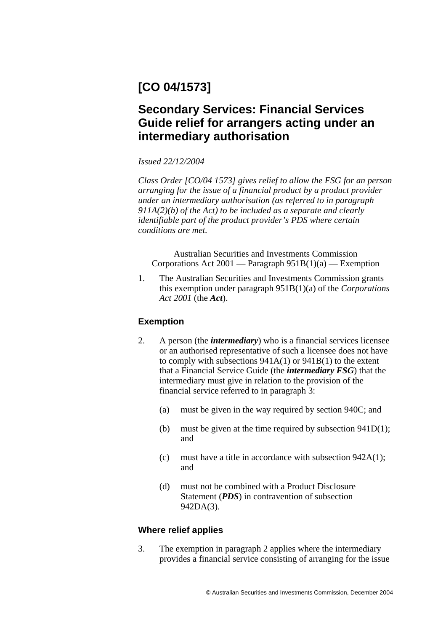# **[CO 04/1573]**

## **Secondary Services: Financial Services Guide relief for arrangers acting under an intermediary authorisation**

*Issued 22/12/2004* 

*Class Order [CO/04 1573] gives relief to allow the FSG for an person arranging for the issue of a financial product by a product provider under an intermediary authorisation (as referred to in paragraph 911A(2)(b) of the Act) to be included as a separate and clearly identifiable part of the product provider's PDS where certain conditions are met.* 

Australian Securities and Investments Commission Corporations Act 2001 — Paragraph  $951B(1)(a)$  — Exemption

1. The Australian Securities and Investments Commission grants this exemption under paragraph 951B(1)(a) of the *Corporations Act 2001* (the *Act*).

### **Exemption**

- 2. A person (the *intermediary*) who is a financial services licensee or an authorised representative of such a licensee does not have to comply with subsections 941A(1) or 941B(1) to the extent that a Financial Service Guide (the *intermediary FSG*) that the intermediary must give in relation to the provision of the financial service referred to in paragraph 3:
	- (a) must be given in the way required by section 940C; and
	- (b) must be given at the time required by subsection  $941D(1)$ ; and
	- (c) must have a title in accordance with subsection 942A(1); and
	- (d) must not be combined with a Product Disclosure Statement (*PDS*) in contravention of subsection 942DA(3).

### **Where relief applies**

3. The exemption in paragraph 2 applies where the intermediary provides a financial service consisting of arranging for the issue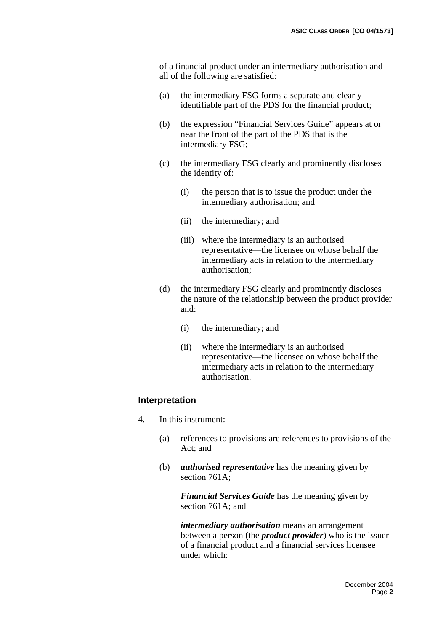of a financial product under an intermediary authorisation and all of the following are satisfied:

- (a) the intermediary FSG forms a separate and clearly identifiable part of the PDS for the financial product;
- (b) the expression "Financial Services Guide" appears at or near the front of the part of the PDS that is the intermediary FSG;
- (c) the intermediary FSG clearly and prominently discloses the identity of:
	- (i) the person that is to issue the product under the intermediary authorisation; and
	- (ii) the intermediary; and
	- (iii) where the intermediary is an authorised representative—the licensee on whose behalf the intermediary acts in relation to the intermediary authorisation;
- (d) the intermediary FSG clearly and prominently discloses the nature of the relationship between the product provider and:
	- (i) the intermediary; and
	- (ii) where the intermediary is an authorised representative—the licensee on whose behalf the intermediary acts in relation to the intermediary authorisation.

#### **Interpretation**

- 4. In this instrument:
	- (a) references to provisions are references to provisions of the Act; and
	- (b) *authorised representative* has the meaning given by section 761A;

*Financial Services Guide* has the meaning given by section 761A; and

*intermediary authorisation* means an arrangement between a person (the *product provider*) who is the issuer of a financial product and a financial services licensee under which: